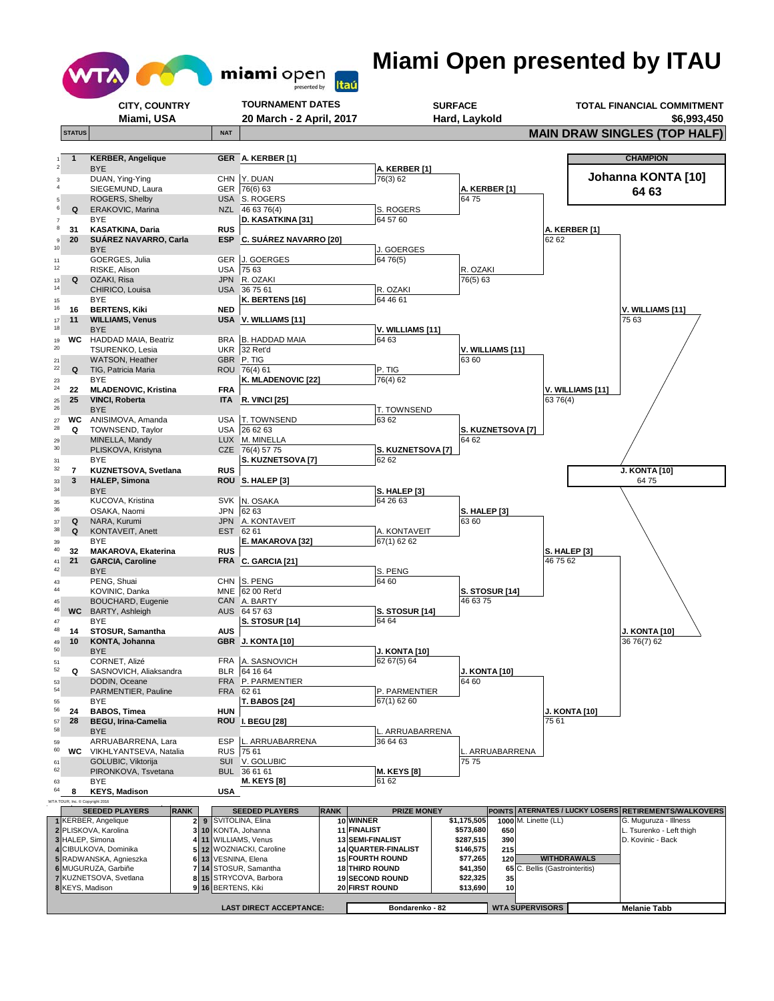

## **Miami Open presented by ITAU**

|                                 | CITY, COUNTRY                                         |                                    | <b>TOURNAMENT DATES</b>                                  |                                          |                             | <b>SURFACE</b>         |                        |                                 | TOTAL FINANCIAL COMMITMENT                                                     |
|---------------------------------|-------------------------------------------------------|------------------------------------|----------------------------------------------------------|------------------------------------------|-----------------------------|------------------------|------------------------|---------------------------------|--------------------------------------------------------------------------------|
|                                 | Miami, USA                                            |                                    | 20 March - 2 April, 2017                                 |                                          |                             | Hard, Laykold          |                        |                                 | \$6,993,450                                                                    |
| <b>STATUS</b>                   |                                                       | <b>NAT</b>                         |                                                          |                                          |                             |                        |                        |                                 | <b>MAIN DRAW SINGLES (TOP HALF)</b>                                            |
|                                 | <b>KERBER, Angelique</b>                              |                                    | GER A. KERBER [1]                                        |                                          |                             |                        |                        |                                 | <b>CHAMPION</b>                                                                |
|                                 | <b>BYE</b>                                            |                                    |                                                          |                                          | A. KERBER [1]               |                        |                        |                                 |                                                                                |
|                                 | DUAN, Ying-Ying                                       |                                    | CHN Y. DUAN                                              |                                          | 76(3) 62                    |                        |                        |                                 | Johanna KONTA [10]                                                             |
|                                 | SIEGEMUND, Laura<br>ROGERS, Shelby                    |                                    | GER 76(6) 63<br>USA S. ROGERS                            |                                          |                             | 6475                   | A. KERBER [1]          |                                 | 64 63                                                                          |
| 6<br>Q                          | ERAKOVIC, Marina                                      |                                    | NZL 46 63 76(4)                                          |                                          | S. ROGERS                   |                        |                        |                                 |                                                                                |
| $\overline{7}$<br>8<br>31       | <b>BYE</b><br>KASATKINA, Daria                        | <b>RUS</b>                         | D. KASATKINA [31]                                        |                                          | 64 57 60                    |                        |                        | A. KERBER [1]                   |                                                                                |
| 20<br>9                         | SUAREZ NAVARRO, Carla                                 |                                    | ESP C. SUÁREZ NAVARRO [20]                               |                                          |                             |                        |                        | 62 62                           |                                                                                |
| 10                              | <b>BYE</b><br>GOERGES, Julia                          |                                    | GER J. GOERGES                                           |                                          | J. GOERGES<br>64 76(5)      |                        |                        |                                 |                                                                                |
| 11<br>12                        | RISKE, Alison                                         |                                    | USA 7563                                                 |                                          |                             | R. OZAKI               |                        |                                 |                                                                                |
| Q<br>13                         | OZAKI, Risa                                           |                                    | JPN R. OZAKI                                             |                                          |                             | 76(5) 63               |                        |                                 |                                                                                |
| 14<br>15                        | CHIRICO, Louisa<br><b>BYE</b>                         |                                    | USA 367561<br>K. BERTENS [16]                            |                                          | R. OZAKI<br>64 46 61        |                        |                        |                                 |                                                                                |
| 16<br>16                        | <b>BERTENS, Kiki</b>                                  | <b>NED</b>                         |                                                          |                                          |                             |                        |                        |                                 | V. WILLIAMS [11]                                                               |
| 11<br>17<br>18                  | <b>WILLIAMS, Venus</b>                                |                                    | USA V. WILLIAMS [11]                                     |                                          |                             |                        |                        |                                 | 75 63                                                                          |
| <b>WC</b><br>19                 | <b>BYE</b><br>HADDAD MAIA, Beatriz                    |                                    | BRA B. HADDAD MAIA                                       |                                          | V. WILLIAMS [11]<br>64 63   |                        |                        |                                 |                                                                                |
| 20                              | <b>TSURENKO, Lesia</b>                                |                                    | UKR 32 Ret'd                                             |                                          |                             |                        | V. WILLIAMS [11]       |                                 |                                                                                |
| 21<br>22<br>Q                   | WATSON, Heather                                       |                                    | GBR P. TIG<br>ROU 76(4) 61                               |                                          |                             | 63 60                  |                        |                                 |                                                                                |
| 23                              | TIG, Patricia Maria<br><b>BYE</b>                     |                                    | K. MLADENOVIC [22]                                       |                                          | P. TIG<br>76(4) 62          |                        |                        |                                 |                                                                                |
| 24<br>22                        | <b>MLADENOVIC, Kristina</b>                           | FRA                                |                                                          |                                          |                             |                        |                        | V. WILLIAMS [11]                |                                                                                |
| 25<br>25<br>26                  | <b>VINCI, Roberta</b><br><b>BYE</b>                   | <b>ITA</b>                         | <b>R. VINCI [25]</b>                                     |                                          | T. TOWNSEND                 |                        |                        | 63 76(4)                        |                                                                                |
| WC<br>$27\,$                    | ANISIMOVA, Amanda                                     |                                    | USA T. TOWNSEND                                          |                                          | 63 62                       |                        |                        |                                 |                                                                                |
| 28<br>Q                         | TOWNSEND, Taylor                                      |                                    | USA 26 62 63                                             |                                          |                             |                        | S. KUZNETSOVA [7]      |                                 |                                                                                |
| 29<br>30                        | MINELLA, Mandy<br>PLISKOVA, Kristyna                  |                                    | LUX M. MINELLA<br>CZE 76(4) 57 75                        |                                          | S. KUZNETSOVA [7]           | 64 62                  |                        |                                 |                                                                                |
| 31                              | BYE                                                   |                                    | S. KUZNETSOVA [7]                                        |                                          | 62 62                       |                        |                        |                                 |                                                                                |
| 32<br>$\overline{7}$            | KUZNETSOVA, Svetlana                                  | <b>RUS</b>                         |                                                          |                                          |                             |                        |                        |                                 | <b>J. KONTA [10]</b>                                                           |
| 3<br>33<br>34                   | <b>HALEP, Simona</b><br><b>BYE</b>                    |                                    | ROU S. HALEP [3]                                         |                                          | <b>S. HALEP [3]</b>         |                        |                        |                                 | 6475                                                                           |
| 35                              | KUCOVA, Kristina                                      |                                    | SVK N. OSAKA                                             |                                          | 64 26 63                    |                        |                        |                                 |                                                                                |
| 36                              | OSAKA, Naomi                                          |                                    | JPN 6263                                                 |                                          |                             | 63 60                  | <b>S. HALEP [3]</b>    |                                 |                                                                                |
| Q<br>37<br>38<br>Q              | NARA, Kurumi<br>KONTAVEIT, Anett                      |                                    | JPN A. KONTAVEIT<br>EST 6261                             |                                          | A. KONTAVEIT                |                        |                        |                                 |                                                                                |
| 39                              | BYE                                                   |                                    | E. MAKAROVA [32]                                         |                                          | $\overline{67}$ (1) 62 62   |                        |                        |                                 |                                                                                |
| 40<br>32<br>21<br>41            | <b>MAKAROVA, Ekaterina</b><br><b>GARCIA, Caroline</b> | RUS                                | FRA C. GARCIA [21]                                       |                                          |                             |                        |                        | <b>S. HALEP [3]</b><br>46 75 62 |                                                                                |
| 42                              | <b>BYE</b>                                            |                                    |                                                          |                                          | S. PENG                     |                        |                        |                                 |                                                                                |
| 43<br>44                        | PENG, Shuai                                           |                                    | CHN S. PENG                                              |                                          | 64 60                       |                        |                        |                                 |                                                                                |
| 45                              | KOVINIC, Danka<br><b>BOUCHARD, Eugenie</b>            |                                    | MNE 62 00 Ret'd<br>CAN A. BARTY                          |                                          |                             | 46 63 75               | <b>S. STOSUR [14]</b>  |                                 |                                                                                |
| 46<br><b>WC</b>                 | BARTY, Ashleigh                                       |                                    | AUS 64 57 63                                             |                                          | <b>S. STOSUR [14]</b>       |                        |                        |                                 |                                                                                |
| 47<br>48                        | BYE                                                   |                                    | <b>S. STOSUR [14]</b>                                    |                                          | 64 64                       |                        |                        |                                 |                                                                                |
| 14<br>10<br>49                  | STOSUR, Samantha<br>KONTA, Johanna                    | <b>AUS</b>                         | GBR J. KONTA [10]                                        |                                          |                             |                        |                        |                                 | <b>J. KONTA [10]</b><br>36 76(7) 62                                            |
| 50                              | <b>BYE</b>                                            |                                    |                                                          |                                          | <b>J. KONTA [10]</b>        |                        |                        |                                 |                                                                                |
| 52<br>Q                         | CORNET, Alizé<br>SASNOVICH, Aliaksandra               |                                    | FRA A. SASNOVICH<br>BLR 64 16 64                         |                                          | 6267(5)64                   |                        | <b>J. KONTA [10]</b>   |                                 |                                                                                |
| 53                              | DODIN, Oceane                                         |                                    | FRA P. PARMENTIER                                        |                                          |                             | 64 60                  |                        |                                 |                                                                                |
| 54                              | PARMENTIER, Pauline                                   |                                    | FRA 6261                                                 |                                          | P. PARMENTIER               |                        |                        |                                 |                                                                                |
| 55<br>56<br>24                  | BYE<br><b>BABOS. Timea</b>                            | <b>HUN</b>                         | <b>T. BABOS [24]</b>                                     |                                          | 67(1) 62 60                 |                        |                        | <b>J. KONTA [10]</b>            |                                                                                |
| 28<br>57                        | <b>BEGU, Irina-Camelia</b>                            |                                    | <b>ROU I. BEGU [28]</b>                                  |                                          |                             |                        |                        | 7561                            |                                                                                |
| 58                              | <b>BYE</b>                                            |                                    |                                                          |                                          | . ARRUABARRENA              |                        |                        |                                 |                                                                                |
| 59<br>60<br><b>WC</b>           | ARRUABARRENA, Lara<br>VIKHLYANTSEVA, Natalia          | ESP                                | L. ARRUABARRENA<br>RUS 7561                              |                                          | 36 64 63                    |                        | L. ARRUABARRENA        |                                 |                                                                                |
| 61                              | GOLUBIC, Viktorija                                    |                                    | SUI V. GOLUBIC                                           |                                          |                             | 7575                   |                        |                                 |                                                                                |
| 62                              | PIRONKOVA, Tsvetana<br><b>BYE</b>                     |                                    | BUL 36 61 61<br><b>M. KEYS [8]</b>                       |                                          | <b>M. KEYS [8]</b><br>61 62 |                        |                        |                                 |                                                                                |
| 63<br>64<br>8                   | <b>KEYS, Madison</b>                                  | <b>USA</b>                         |                                                          |                                          |                             |                        |                        |                                 |                                                                                |
| WTA TOUR, Inc. @ Copyright 2016 |                                                       |                                    |                                                          |                                          |                             |                        |                        |                                 |                                                                                |
|                                 | <b>SEEDED PLAYERS</b><br>1 KERBER, Angelique          | <b>RANK</b><br>2 <sub>1</sub><br>9 | <b>SEEDED PLAYERS</b><br><b>RANK</b><br>SVITOLINA, Elina | 10 WINNER                                | <b>PRIZE MONEY</b>          | \$1,175,505            | 1000 M. Linette (LL)   |                                 | POINTS ATERNATES / LUCKY LOSERS RETIREMENTS/WALKOVERS<br>G. Muguruza - Illness |
|                                 | 2 PLISKOVA, Karolina                                  | 3 10 KONTA, Johanna                |                                                          | 11 FINALIST                              |                             | \$573,680              | 650                    |                                 | L. Tsurenko - Left thigh                                                       |
| 3 HALEP, Simona                 | 4 CIBULKOVA, Dominika                                 | 4 11 WILLIAMS, Venus               | 5 12 WOZNIACKI, Caroline                                 | 13 SEMI-FINALIST                         | 14 QUARTER-FINALIST         | \$287,515<br>\$146,575 | 390<br>215             |                                 | D. Kovinic - Back                                                              |
|                                 | 5 RADWANSKA, Agnieszka                                | 6 13 VESNINA, Elena                |                                                          | <b>15 FOURTH ROUND</b>                   |                             | \$77,265               | 120                    | <b>WITHDRAWALS</b>              |                                                                                |
|                                 | 6 MUGURUZA, Garbiñe<br>7 KUZNETSOVA, Svetlana         |                                    | 7 14 STOSUR, Samantha<br>8 15 STRYCOVA, Barbora          | <b>18 THIRD ROUND</b>                    |                             | \$41,350               | 65                     | C. Bellis (Gastrointeritis)     |                                                                                |
| 8 KEYS, Madison                 |                                                       | 9 16 BERTENS, Kiki                 |                                                          | <b>19 SECOND ROUND</b><br>20 FIRST ROUND |                             | \$22,325<br>\$13,690   | 35<br>10               |                                 |                                                                                |
|                                 |                                                       |                                    |                                                          |                                          |                             |                        |                        |                                 |                                                                                |
|                                 |                                                       |                                    | <b>LAST DIRECT ACCEPTANCE:</b>                           |                                          | Bondarenko - 82             |                        | <b>WTA SUPERVISORS</b> |                                 | <b>Melanie Tabb</b>                                                            |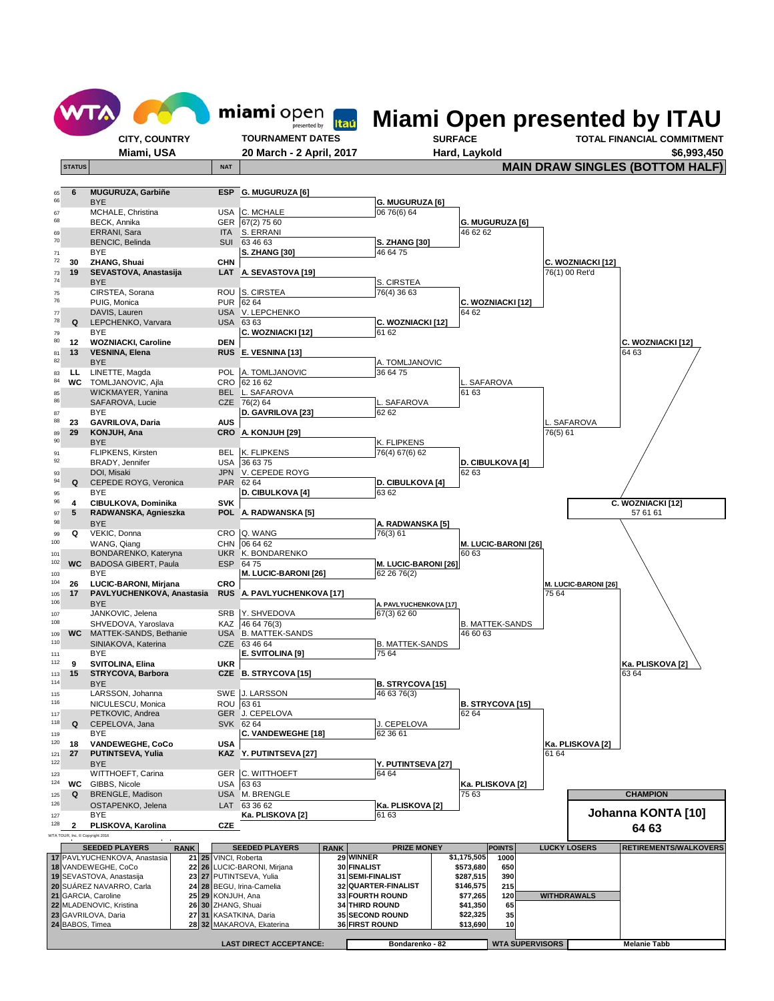

|                                | <b>SEEDED PLAYERS</b>        | <b>RANK</b> | <b>SEEDED PLAYERS</b>       | <b>RANK</b> | <b>PRIZE MONEY</b>     |             | <b>POINTS</b> | <b>LUCKY LOSERS</b>    | <b>IRETIREMENTS/WALKOVERS</b> |
|--------------------------------|------------------------------|-------------|-----------------------------|-------------|------------------------|-------------|---------------|------------------------|-------------------------------|
|                                | 17 PAVLYUCHENKOVA, Anastasia |             | 21 25 VINCI, Roberta        |             | <b>29 WINNER</b>       | \$1.175.505 | 1000          |                        |                               |
|                                | 18 VANDEWEGHE, CoCo          |             | 22 26 LUCIC-BARONI, Mirjana |             | 30 FINALIST            | \$573.680   | 650           |                        |                               |
|                                | 19 SEVASTOVA, Anastasija     |             | 23 27 PUTINTSEVA, Yulia     |             | 31 SEMI-FINALIST       | \$287.515   | 390           |                        |                               |
|                                | 20 SUÁREZ NAVARRO, Carla     |             | 24 28 BEGU, Irina-Camelia   |             | 32 QUARTER-FINALIST    | \$146.575   | 215           |                        |                               |
|                                | 21 GARCIA, Caroline          |             | 25 29 KONJUH, Ana           |             | <b>33 FOURTH ROUND</b> | \$77,265    | 120           | <b>WITHDRAWALS</b>     |                               |
|                                | 22 MLADENOVIC, Kristina      |             | 26 30 ZHANG, Shuai          |             | <b>34 THIRD ROUND</b>  | \$41,350    | 65            |                        |                               |
|                                | 23 GAVRILOVA, Daria          |             | 27 31 KASATKINA, Daria      |             | <b>35 SECOND ROUND</b> | \$22.325    | 35            |                        |                               |
|                                | 24 BABOS, Timea              |             | 28 32 MAKAROVA, Ekaterina   |             | <b>36 FIRST ROUND</b>  | \$13,690    | 10            |                        |                               |
|                                |                              |             |                             |             |                        |             |               |                        |                               |
| <b>LAST DIRECT ACCEPTANCE:</b> |                              |             |                             |             | Bondarenko - 82        |             |               | <b>WTA SUPERVISORS</b> | <b>Melanie Tabb</b>           |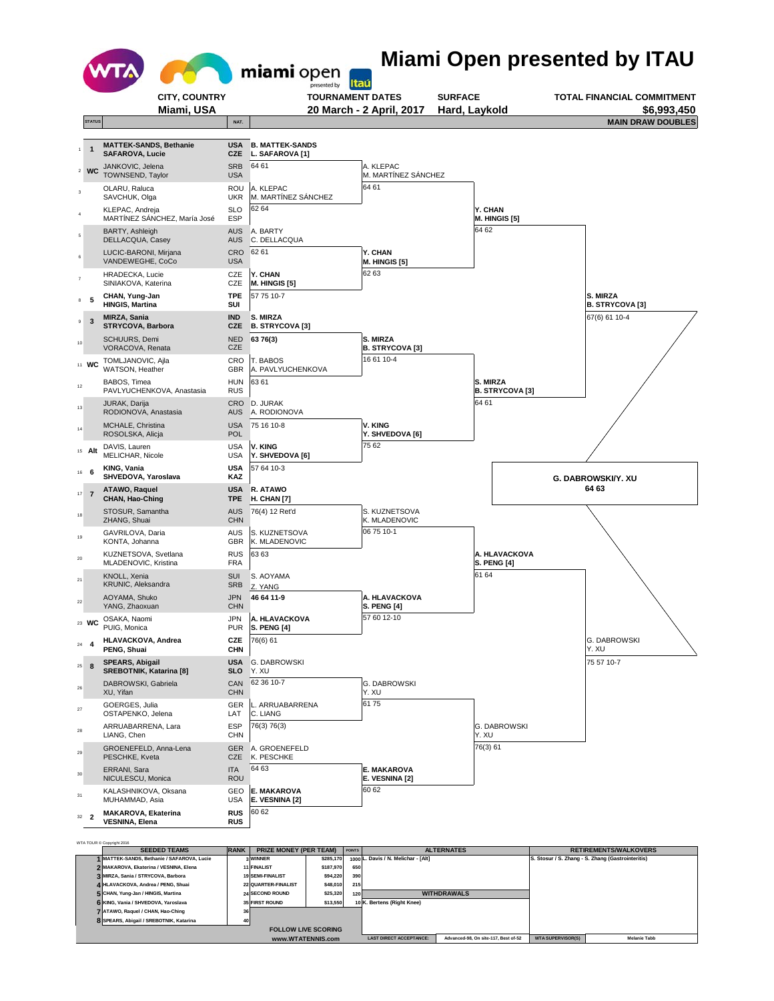

| <b>SEEDED TEAMS</b>                        | <b>RANK</b> | <b>PRIZE MONEY (PER TEAM)</b> |           | <b>POINTS</b> |                                     | <b>ALTERNATES</b>                    |                          | <b>RETIREMENTS/WALKOVERS</b>                      |
|--------------------------------------------|-------------|-------------------------------|-----------|---------------|-------------------------------------|--------------------------------------|--------------------------|---------------------------------------------------|
| I MATTEK-SANDS, Bethanie / SAFAROVA, Lucie |             | 3 WINNER                      | \$285,170 |               | 1000 L. Davis / N. Melichar - [Alt] |                                      |                          | S. Stosur / S. Zhang - S. Zhang (Gastrointeritis) |
| 2 MAKAROVA, Ekaterina / VESNINA, Elena     |             | 11 FINALIST                   | \$187,970 | 650           |                                     |                                      |                          |                                                   |
| 3 MIRZA, Sania / STRYCOVA, Barbora         |             | 19 SEMI-FINALIST              | \$94,220  | 390           |                                     |                                      |                          |                                                   |
| 4 HLAVACKOVA, Andrea / PENG, Shuai         |             | 22 QUARTER-FINALIST           | \$48,010  | 215           |                                     |                                      |                          |                                                   |
| 5 CHAN, Yung-Jan / HINGIS, Martina         |             | <b>24 SECOND ROUND</b>        | \$25,320  | 120           |                                     | <b>WITHDRAWALS</b>                   |                          |                                                   |
| 6 KING, Vania / SHVEDOVA, Yaroslava        |             | <b>35 FIRST ROUND</b>         | \$13,550  |               | 10 K. Bertens (Right Knee)          |                                      |                          |                                                   |
| 7 ATAWO, Raguel / CHAN, Hao-Ching<br>36    |             |                               |           |               |                                     |                                      |                          |                                                   |
| 8 SPEARS, Abigail / SREBOTNIK, Katarina    | 40          |                               |           |               |                                     |                                      |                          |                                                   |
| <b>FOLLOW LIVE SCORING</b>                 |             |                               |           |               |                                     |                                      |                          |                                                   |
| www.WTATENNIS.com                          |             |                               |           |               | <b>LAST DIRECT ACCEPTANCE:</b>      | Advanced-98, On site-117, Best of-52 | <b>WTA SUPERVISOR(S)</b> | <b>Melanie Tabb</b>                               |